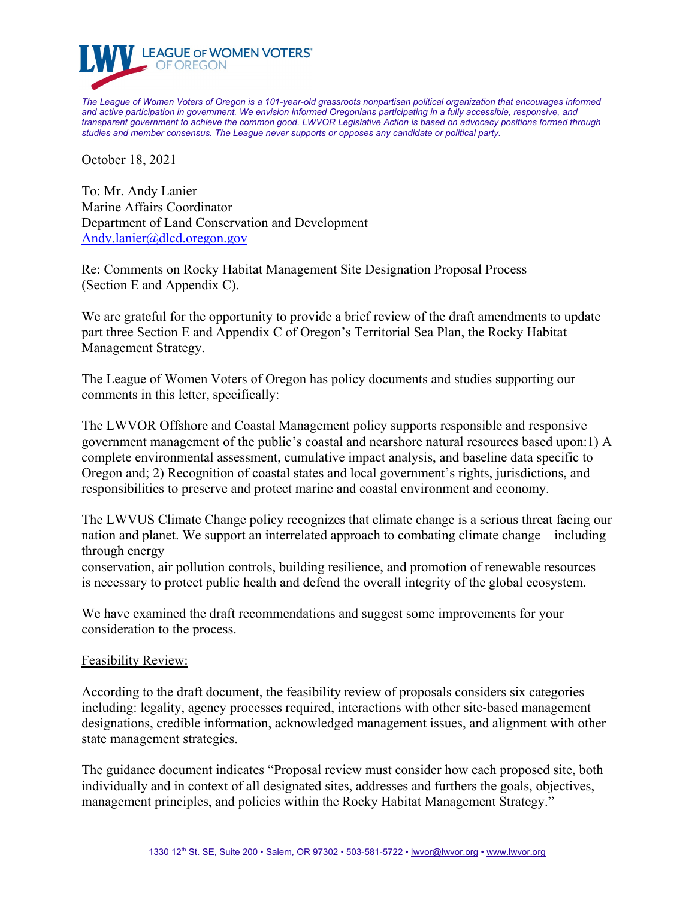

*The League of Women Voters of Oregon is a 101-year-old grassroots nonpartisan political organization that encourages informed and active participation in government. We envision informed Oregonians participating in a fully accessible, responsive, and transparent government to achieve the common good. LWVOR Legislative Action is based on advocacy positions formed through studies and member consensus. The League never supports or opposes any candidate or political party.*

October 18, 2021

To: Mr. Andy Lanier Marine Affairs Coordinator Department of Land Conservation and Development [Andy.lanier@dlcd.oregon.gov](mailto:Andy.lanier@dlcd.oregon.gov)

Re: Comments on Rocky Habitat Management Site Designation Proposal Process (Section E and Appendix C).

We are grateful for the opportunity to provide a brief review of the draft amendments to update part three Section E and Appendix C of Oregon's Territorial Sea Plan, the Rocky Habitat Management Strategy.

The League of Women Voters of Oregon has policy documents and studies supporting our comments in this letter, specifically:

The LWVOR Offshore and Coastal Management policy supports responsible and responsive government management of the public's coastal and nearshore natural resources based upon:1) A complete environmental assessment, cumulative impact analysis, and baseline data specific to Oregon and; 2) Recognition of coastal states and local government's rights, jurisdictions, and responsibilities to preserve and protect marine and coastal environment and economy.

The LWVUS Climate Change policy recognizes that climate change is a serious threat facing our nation and planet. We support an interrelated approach to combating climate change—including through energy

conservation, air pollution controls, building resilience, and promotion of renewable resources is necessary to protect public health and defend the overall integrity of the global ecosystem.

We have examined the draft recommendations and suggest some improvements for your consideration to the process.

## Feasibility Review:

According to the draft document, the feasibility review of proposals considers six categories including: legality, agency processes required, interactions with other site-based management designations, credible information, acknowledged management issues, and alignment with other state management strategies.

The guidance document indicates "Proposal review must consider how each proposed site, both individually and in context of all designated sites, addresses and furthers the goals, objectives, management principles, and policies within the Rocky Habitat Management Strategy."